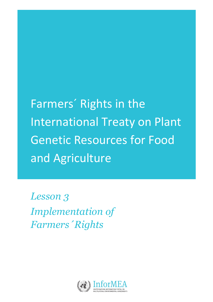Farmers' Rights in the International Treaty on Plant Genetic Resources for Food and Agriculture

*Lesson 3 Implementation of Farmers´Rights*

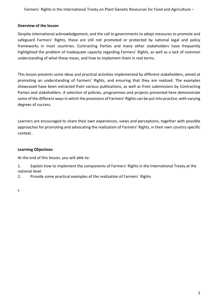Farmers<sup>'</sup> Rights in the International Treaty on Plant Genetic Resources for Food and Agriculture -

#### **Overview of the lesson**

Despite international acknowledgement, and the call to governments to adopt measures to promote and safeguard Farmers' Rights, these are still not promoted or protected by national legal and policy frameworks in most countries. Contracting Parties and many other stakeholders have frequently highlighted the problem of inadequate capacity regarding Farmers' Rights, as well as a lack of common understanding of what these mean, and how to implement them in real terms.

This lesson presents some ideas and practical activities implemented by different stakeholders, aimed at promoting an understanding of Farmers' Rights, and ensuring that they are realized. The examples showcased have been extracted from various publications, as well as from submissions by Contracting Parties and stakeholders. A selection of policies, programmes and projects presented here demonstrate some of the different ways in which the provisions of Farmers' Rights can be put into practice, with varying degrees of success.

Learners are encouraged to share their own experiences, views and perceptions, together with possible approaches for promoting and advocating the realization of Farmers' Rights, in their own country specific context.. 

#### **Learning Objectives**

At the end of this lesson, you will able to:

1. Explain how to implement the components of Farmers' Rights in the International Treaty at the national level

2. Provide some practical examples of the realization of Farmers' Rights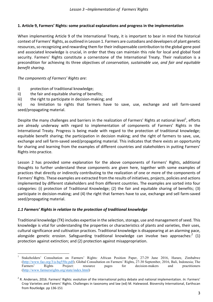#### **1.** Article 9, Farmers' Rights: some practical explanations and progress in the implementation

When implementing Article 9 of the International Treaty, it is important to bear in mind the historical context of Farmers' Rights, as outlined in Lesson 1. Farmers are custodians and developers of plant genetic resources, so recognizing and rewarding them for their indispensable contribution to the global gene pool and associated knowledge is crucial, in order that they can maintain this role for local and global food security. Farmers' Rights constitute a cornerstone of the International Treaty. Their realization is a precondition for achieving its three objectives of *conservation, sustainable use, and fair and equitable benefit sharing*. 

The components of Farmers' Rights are:

- i) protection of traditional knowledge;
- $ii)$  the fair and equitable sharing of benefits;
- iii) the right to participate in decision-making; and

iv) no limitation to rights that farmers have to save, use, exchange and sell farm-saved seed/propagating material.

Despite the many challenges and barriers in the realization of Farmers' Rights at national level<sup>1</sup>, efforts are already underway with regard to implementation of components of Farmers' Rights in the International Treaty. Progress is being made with regard to the protection of traditional knowledge; equitable benefit sharing; the participation in decision making; and the right of farmers to save, use, exchange and sell farm-saved seed/propagating material. This indicates that there exists an opportunity for sharing and learning from the examples of different countries and stakeholders in putting Farmers' Rights into practice.

Lesson 2 has provided some explanation for the above components of Farmers' Rights, additional thoughts to further understand these components are given here, together with some examples of practices that directly or indirectly contributing to the realization of one or more of the components of Farmers' Rights. These examples are extracted from the results of initiatives, projects, policies and actions implemented by different stakeholders and from different countries. The examples are sorted into four categories: (i) protection of Traditional Knowledge; (2) the fair and equitable sharing of benefits; (3) participate in decision-making; and (4) the right that farmers have to use, exchange and sell farm-saved seed/propagating material.

#### 1.1 Farmers' Rights in relation to the protection of traditional knowledge

Traditional knowledge (TK) includes expertise in the selection, storage, use and management of seed. This knowledge is vital for understanding the properties or characteristics of plants and varieties, their uses, cultural significance and cultivation practices. Traditional knowledge is disappearing at an alarming pace, alongside genetic erosion. Safeguarding traditional knowledge can involve two approaches:<sup>2</sup> (1) protection against extinction; and (2) protection against misappropriation.

 <sup>1</sup> Stakeholders' Consultation on Farmers' Rights: African Position Paper, 27-29 June 2016, Harare, Zimbabwe (http://www.fao.org/3/a-bq550e.pdf); Global Consultation on Farmers' Rights, 27-30 September, 2016, Bali, Indonesia; The Farmers' Rights Project: resource pages for decision-makers and practitioners (http://www.farmersrights.org/state/index.html)

 $2$  R. Andersen, 2016. Farmers' Rights: evolution of the international policy debate and national implementation. *In:* Farmers' Crop Varieties and Famers' Rights. Challenges in taxonomy and law (ed) M. Halewood. Bioversity International, Earthscan from Routledge. pp 136-151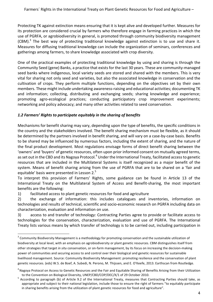Protecting TK against extinction means ensuring that it is kept alive and developed further. Measures for its protection are considered crucial by farmers who therefore engage in farming practices in which the use of PGRFA, or agrobiodiversity in general, is promoted through community biodiversity management (CBM).<sup>3</sup> The best way of protecting traditional knowledge against extinction is to use and share it. Measures for diffusing traditional knowledge can include the organization of seminars, conferences and gatherings among farmers, to share knowledge associated with crop diversity.

One of the practical examples of protecting traditional knowledge by using and sharing is through the Community Seed (gene) Banks, a practice that exists for the last 30 years. These are community-managed seed banks where indigenous, local variety seeds are stored and shared with the members. This is very vital for sharing not only seed and varieties, but also the associated knowledge in conservation and the cultivation of crops. They perform multiple functions, depending on the objectives set by their own members. These might include undertaking awareness-raising and educational activities; documenting TK and information; collecting, distributing and exchanging seeds; sharing knowledge and experience; promoting agro-ecological practices; conducting participatory crop improvement experiments; networking and policy advocacy; and many other activities related to seed conservation.

#### 1.2 Farmers' Rights to participate equitably in the sharing of benefits

Mechanisms for benefit sharing may vary, depending upon the type of benefits, the specific conditions in the country and the stakeholders involved. The benefit sharing mechanism must be flexible, as it should be determined by the partners involved in benefit sharing, and will vary on a case-by-case basis. Benefits to be shared may be influenced by numerous factors, including the extent of sharing, and the nature of the final product development. Most regulations envisage forms of direct benefit sharing between the 'owners' and 'buyers' of genetic resources, often upon prior informed consent on mutually agreed terms, as set out in the CBD and its Nagoya Protocol.<sup>4</sup> Under the International Treaty, facilitated access to genetic resources that are included in the Multilateral Systems is itself recognized as a major benefit of the system. Means of benefit sharing arising from the use of PGRFA that are to be shared on a 'fair and equitable' basis were presented in Lesson 2. $5$ 

To interpret this provision of Farmers' Rights, some guidance can be found in Article 13 of the International Treaty on the Multilateral System of Access and Benefit-sharing, the most important benefits are the following:

1) facilitated access to plant genetic resources for food and agriculture

2) the exchange of information: this includes catalogues and inventories, information on technologies and results of technical, scientific and socio-economic research on PGRFA including data on characterization, evaluation and information on use.

3) access to and transfer of technology: Contracting Parties agree to provide or facilitate access to technologies for the conservation, characterization, evaluation and use of PGRFA. The International Treaty lists various means by which transfer of technology is to be carried out, including participation in

 $3$  Community Biodiversity Management is a methodology for promoting conservation and the sustainable utilization of biodiversity at local level, with an emphasis on agrobiodiversity or plant genetic resources. CBM distinguishes itself from other strategies that target *in situ* conservation, or on-farm management, by its focus on increasing the decision-making power of communities and securing access to and control over their biological and genetic resources for sustainable livelihood management. Source: Community Biodiversity Management: promoting resilience and the conservation of plant genetic resources. (eds) W.S. de Boef, A. Subedi, N. Perono, M. Thijssen, and E. O'Keefe, 2013. Earthscan from Routledge.

 $^4$  Nagoya Protocol on Access to Genetic Resources and the Fair and Equitable Sharing of Benefits Arising from their Utilization

to the Convention on Biological Diversity, UNEP/CBD/COP/DEC/X/1 of 29 October 2010.<br><sup>5</sup> According to paragraph (b) of Article 9.2 of the International Treaty, measures that Contracting Parties should take, as appropriate and subject to their national legislation, include those to ensure the right of farmers "to equitably participate in sharing benefits arising from the utilization of plant genetic resources for food and agriculture".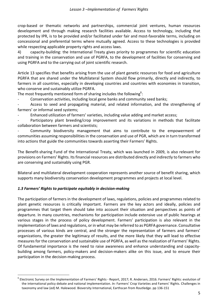crop-based or thematic networks and partnerships, commercial joint ventures, human resources development and through making research facilities available. Access to technology, including that protected by IPR, is to be provided and/or facilitated under fair and most-favorable terms, including on concessional and preferential terms where mutually agreed. Access to these technologies is provided while respecting applicable property rights and access laws.

4) capacity-building: the International Treaty gives priority to programmes for scientific education and training in the conservation and use of PGRFA, to the development of facilities for conserving and using PGRFA and to the carrying out of joint scientific research.

Article 13 specifies that benefits arising from the use of plant genetic resources for food and agriculture PGRFA that are shared under the Multilateral System should flow primarily, directly and indirectly, to farmers in all countries, especially in developing countries and countries with economies in transition, who conserve and sustainably utilize PGRFA.

The most frequently mentioned form of sharing includes the following<sup>6</sup>:

Conservation activities, including local gene banks and community seed banks;

Access to seed and propagating material, and related information, and the strengthening of farmers' or informal seed systems:

Enhanced utilization of farmers' varieties, including value adding and market access;

Participatory plant breeding/crop improvement and its variations in methods that facilitate collaboration between farmers and scientists;

Community biodiversity management that aims to contribute to the empowerment of communities assuming responsibilities in the conservation and use of PGR, which are in turn transformed into actions that guide the communities towards asserting their Farmers' Rights.

The Benefit-sharing Fund of the International Treaty, which was launched in 2009, is also relevant for provisions on Farmers' Rights. Its financial resources are distributed directly and indirectly to farmers who are conserving and sustainably using PGR.

Bilateral and multilateral development cooperation represents another source of benefit sharing, which supports many biodiversity conservation development programmes and projects at local level.

# *1.3 Farmers' Rights to participate equitably in decision-making*

The participation of farmers in the development of laws, regulations, policies and programmes related to plant genetic resources is critically important. Farmers are the key actors and ideally, policies and programmes that target them should take into account their situation and perspectives as points of departure. In many countries, mechanisms for participation include extensive use of public hearings at various stages in the process of policy development. Farmers' participation is also relevant in the implementation of laws and regulations, or in what may be referred to as PGRFA governance. Consultative processes of various kinds are central, and the stronger the representation of farmers and farmers' organizations, the greater the legitimacy of results, and the more likely that they will lead to effective measures for the conservation and sustainable use of PGRFA, as well as the realization of Farmers' Rights. Of fundamental importance is the need to raise awareness and enhance understanding and capacitybuilding among farmers, policy-makers and decision-makers alike on this issue, and to ensure their participation in the decision-making process.

 $^6$  Electronic Survey on the Implementation of Farmers' Rights - Report, 2017; R. Andersen, 2016. Farmers' Rights: evolution of the international policy debate and national implementation. In: Farmers' Crop Varieties and Famers' Rights. Challenges in taxonomy and law (ed) M. Halewood. Bioversity International, Earthscan from Routledge. pp 136-151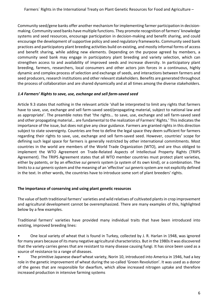Community seed/gene banks offer another mechanism for implementing farmer participation in decisionmaking. Community seed banks have multiple functions. They promote recognition of farmers' knowledge systems and seed resources, encourage participation in decision-making and benefit sharing, and could encourage the development of supportive policy and seed regulatory frameworks. Community seed bank practices and participatory plant breeding activities build on existing, and mostly informal forms of access and benefit sharing, while adding new elements. Depending on the purpose agreed by members, a community seed bank may engage in participatory plant breeding and variety selection, which can strengthen access to and availability of improved seeds and increase diversity. In participatory plant breeding, farmers, researchers, local consumers and other actors join forces in a continuous, highly dynamic and complex process of selection and exchange of seeds, and interactions between farmers and seed producers, research institutions and other relevant stakeholders. Benefits are generated throughout the process of collaboration and are shared dynamically and at all times among the diverse stakeholders.

# 1.4 Farmers' Rights to save, use, exchange and sell farm-saved seed

Article 9.3 states that nothing in the relevant article 'shall be interpreted to limit any rights that farmers have to save, use, exchange and sell farm-saved seed/propagating material, subject to national law and as appropriate'. The preamble notes that 'the rights... to save, use, exchange and sell farm-saved seed and other propagating material... are fundamental to the realization of Farmers' Rights.' This indicates the importance of the issue, but does not give any clear guidance. Farmers are granted rights in this direction subject to state sovereignty. Countries are free to define the legal space they deem sufficient for farmers regarding their rights to save, use, exchange and sell farm-saved seed. However, countries' scope for defining such legal space for farmers is generally restricted by other international commitments. Most countries in the world are members of the World Trade Organization (WTO), and are thus obliged to implement the WTO Agreement on Trade-Related Aspects of Intellectual Property Rights (TRIPS Agreement). The TRIPS Agreement states that all WTO member countries must protect plant varieties, either by patents, or by an effective *sui generis* system (a system of its own kind), or a combination. The limits to a *sui generis* system and the meaning of an 'effective' *sui generis* system are not explicitly defined in the text. In other words, the countries have to introduce some sort of plant breeders' rights.

#### The importance of conserving and using plant genetic resources

The value of both traditional farmers' varieties and wild relatives of cultivated plants in crop improvement and agricultural development cannot be overemphasized. There are many examples of this, highlighted below by a few examples.

Traditional farmers' varieties have provided many individual traits that have been introduced into existing, improved breeding lines:

• One local variety of wheat that is found in Turkey, collected by J. R. Harlan in 1948, was ignored for many years because of its many negative agricultural characteristics. But in the 1980s it was discovered that the variety carries genes that are resistant to many disease causing fungi. It has since been used as a source of resistance to a range of diseases.

The primitive Japanese dwarf wheat variety, Norin 10, introduced into America in 1946, had a key role in the genetic improvement of wheat during the so-called 'Green Revolution'. It was used as a donor of the genes that are responsible for dwarfism, which allow increased nitrogen uptake and therefore increased production in intensive farming systems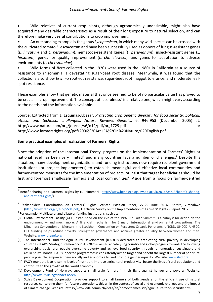Wild relatives of current crop plants, although agronomically undesirable, might also have acquired many desirable characteristics as a result of their long exposure to natural selection, and can therefore make very useful contributions to crop improvement:

An outstanding example is the genus *Lycopersicon*, in which many wild species can be crossed with the cultivated tomato *L. esculentum* and have been successfully used as donors of fungus-resistant genes (*L. hirsutum*  and *L. peruvianum*), nematode-resistant genes (*L. peruvianum*), insect-resistant genes (*L.*  hirsutum), genes for quality improvement (*L. chmielewskii*), and genes for adaptation to adverse environments (*L. cheesmaniae*).

Wild forms of *Beta* collected in the 1920s were used in the 1980s in California as a source of resistance to rhizomania, a devastating sugar-beet root disease. Meanwhile, it was found that the collections also show *Erwinia* root-rot resistance, sugar-beet root maggot tolerance, and moderate leafspot resistance.

These examples show that genetic material that once seemed to be of no particular value has proved to be crucial in crop improvement. The concept of 'usefulness' is a relative one, which might vary according to the needs and the information available.

Source: Extracted from J. Esquinas-Alcázar. Protecting crop genetic diversity for food security: political, *ethical and technical challenges*. *Nature Reviews Genetics* 6, 946-953 (December 2005) at: http://www.nature.com/nrg/journal/v6/n12/pdf/nrg1729.pdf or http://www.farmersrights.org/pdf/2006%20Art.JEA%20in%20Nature,%20English.pdf

#### **Some practical examples of realization of Farmers' Rights**

Since the adoption of the International Treaty, progress on the implementation of Farmers' Rights at national level has been very limited<sup>7</sup> and many countries face a number of challenges.<sup>8</sup> Despite this situation, many development organizations and funding institutions now require recipient government institutions (or project implementers) to establish meaningful and effective local communities and farmer-centred measures for the implementation of projects, or insist that target beneficiaries should be first and foremost small-scale farmers and local communities ${}^{9}$ . Aside from a focus on farmer-centred

<sup>&</sup>lt;sup>7</sup> Benefit-sharing and Farmers' Rights by E. Tsiuomani (http://www.benelexblog.law.ed.ac.uk/2014/05/13/benefit-sharingand-farmers-rights/) 

Stakeholders' Consultation on Farmers' Rights: African Position Paper, 27-29 June 2016, Harare, Zimbabwe (http://www.fao.org/3/a-bq550e.pdf); Electronic Survey on the Implementation of Farmers' Rights - Report 2017.<br><sup>9</sup> For example, Multilateral and bilateral funding institutions, such as:

<sup>(</sup>i) Global Environment Facility (GEF), established on the eve of the 1992 Rio Earth Summit, is a catalyst for action on the environment  $-$  and much more. A financial mechanism for 5 major international environmental conventions: The Minamata Convention on Mercury, the Stockholm Convention on Persistent Organic Pollutants, UNCBD, UNCCD, UNFCC. GEF funding helps reduce poverty, strengthen governance and achieve greater equality between women and men. Website: www.thegef.org

<sup>(</sup>ii) The International Fund for Agricultural Development (IFAD) is dedicated to eradicating rural poverty in developing countries. IFAD's Strategic Framework 2016-2025 is aimed at catalysing country and global progress towards the following overarching goal: rural people overcome poverty and achieve food security through remunerative, sustainable and resilient livelihoods. IFAD supported programmes is consistently aim to target and benefit the largest number of poor rural people possible, empower them socially and economically, and promote gender equality. Website: www.ifad.org

<sup>(</sup>iii) FAO's mandate is to raise the levels of nutrition, improve agricultural productivity, better the lives of rural populations and contribute to the growth of the world economy.

<sup>(</sup>iv) Development Fund of Norway, supports small scale farmers in their fight against hunger and poverty. Website: http://www.utviklingsfondet.no/en

<sup>(</sup>v) Swiss Development Cooperation, provides support to small farmers of both genders for the efficient use of natural resources conserving them for future generations, this all in the context of social and economic changes and the impact of climate change. Website: https://www.eda.admin.ch/deza/en/home/themes-sdc/agriculture-food-security.html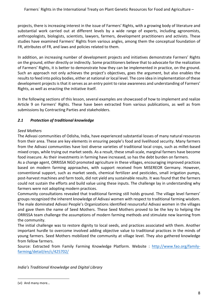projects, there is increasing interest in the issue of Farmers' Rights, with a growing body of literature and substantial work carried out at different levels by a wide range of experts, including agronomists, anthropologists, biologists, scientists, lawyers, farmers, development practitioners and activists. These studies have examined Farmers' Rights from various angles, among them the conceptual foundation of FR, attributes of FR, and laws and policies related to them.

In addition, an increasing number of development projects and initiatives demonstrate Farmers' Rights on the ground, either directly or indirectly. Some practitioners believe that to advocate for the realization of Farmers' Rights, it is better to demonstrate how they can be implemented in practice, on the ground. Such an approach not only achieves the project's objectives, goes the argument, but also enables the results to feed into policy bodies, either at national or local level. The core idea in implementation of these development projects is that it serves as an entry point to raise awareness and understanding of Farmers' Rights, as well as enacting the initiative itself.

In the following sections of this lesson, several examples are showcased of how to implement and realize Article 9 on Farmers' Rights. These have been extracted from various publications, as well as from submissions by Contracting Parties and stakeholders.

# *2.1 Protection of traditional knowledge*

#### *Seed Mothers*

The Adivasi communities of Odisha, India, have experienced substantial losses of many natural resources from their area. These are key elements in ensuring people's food and livelihood security. Many farmers from the Adivasi communities have lost diverse varieties of traditional local crops, such as millet-based mixed crops, while trying out market seeds. As a result, these small-scale, marginal farmers have become food insecure. As their investments in farming have increased, so has the debt burden on farmers.

As a change agent, ORRISSA NGO promoted agriculture in these villages, encouraging improved practices based on modern farming approaches, with support received from MISEREOR Germany. However, conventional support, such as market seeds, chemical fertilizer and pesticides, small irrigation pumps, post-harvest machines and farm tools, did not yield any sustainable results. It was found that the farmers could not sustain the efforts and build value using these inputs. The challenge lay in understanding why farmers were not adopting modern practices.

Community consultations revealed that traditional farming still holds ground. The village level farmers' groups recognized the inherent knowledge of Adivasi women with respect to traditional farming wisdom. The male dominated Adivasi People's Organizations identified resourceful Adivasi women in the villages and gave them the name of Seed Mothers. These Seed Mothers proved to be the key to helping the ORRISSA team challenge the assumptions of modern farming methods and stimulate new learning from the community.

The initial challenge was to restore dignity to local seeds, and practices associated with them. Another important hurdle to overcome involved adding objective value to traditional practices in the minds of young farmers. Seed Mothers mobilized the community at village level. They also gathered knowledge from fellow farmers.

Source: Extracted from Family Farming Knowledge Platform. Website : http://www.fao.org/familyfarming/detail/en/c/425702/

*India's Traditional Knowledge and Digital Library*

 

<sup>(</sup>vi) And many more...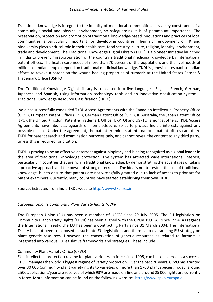Traditional knowledge is integral to the identity of most local communities. It is a key constituent of a community's social and physical environment, so safeguarding it is of paramount importance. The preservation, protection and promotion of traditional knowledge-based innovations and practices of local communities is particularly important for developing countries. Their rich endowment of TK and biodiversity plays a critical role in their health care, food security, culture, religion, identity, environment, trade and development. The Traditional Knowledge Digital Library (TKDL) is a pioneer initiative launched in India to prevent misappropriation of the country's traditional medicinal knowledge by international patent offices. The health care needs of more than 70 percent of the population, and the livelihoods of millions of Indian people depend on traditional medicinal knowledge. TKDL's genesis dates back to Indian efforts to revoke a patent on the wound healing properties of turmeric at the United States Patent & Trademark Office (USPTO). 

The Traditional Knowledge Digital Library is translated into five languages: English, French, German, Japanese and Spanish, using information technology tools and an innovative classification system -Traditional Knowledge Resource Classification (TKRC).

India has successfully concluded TKDL Access Agreements with the Canadian Intellectual Property Office (CIPO), European Patent Office (EPO), German Patent Office (GPO), IP Australia, the Japan Patent Office (JPO), the United Kingdom Patent & Trademark Office (UKPTO) and USPTO, amongst others. TKDL Access Agreements have inbuilt safeguards on non-disclosure, so as to protect India's interests against any possible misuse. Under the agreement, the patent examiners at international patent offices can utilize TKDL for patent search and examination purposes only, and cannot reveal the content to any third party, unless this is required for citation.

TKDL is proving to be an effective deterrent against biopiracy and is being recognized as a global leader in the area of traditional knowledge protection. The system has attracted wide international interest, particularly in countries that are rich in traditional knowledge, by demonstrating the advantages of taking a proactive approach and the power of strong deterrence. The idea is not to restrict the use of traditional knowledge, but to ensure that patents are not wrongfully granted due to lack of access to prior art for patent examiners. Currently, many countries have started establishing their own TKDL.

Source: Extracted from India TKDL website http://www.tkdl.res.in

#### *European Union's Community Plant Variety Rights (CVPR)*

The European Union (EU) has been a member of UPOV since 29 July 2005. The EU legislation on Community Plant Variety Rights (CPVR) has been aligned with the UPOV 1991 AC since 1994. As regards the International Treaty, the EU has been a Contracting Party since 31 March 2004. The International Treaty has not been transposed as such into EU legislation, and there is no overarching EU strategy on plant genetic resources. However, the conservation of genetic resources as related to farmers is integrated into various EU legislative frameworks and strategies. These include:

#### Community Plant Variety Office (CPVO)

EU's intellectual protection regime for plant varieties, in force since 1995, can be considered as a success. CPVO manages the world's biggest regime of variety protection. Over the past 20 years, CPVO has granted over 30 000 Community plant variety rights to varieties of more than 1700 plant species. Today, around 2500 applications/year are received of which 93% are made on-line and around 25 000 rights are currently in force. More information can be found on the following website: http://www.cpvo.europa.eu.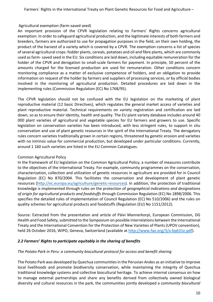#### Agricultural exemption (farm-saved seed)

An important provision of the CPVR legislation relating to Farmers' Rights concerns agricultural exemption. In order to safeguard agricultural production, and the legitimate interests of both farmers and breeders, farmers are authorized to use for propagation purposes in the field, on their own holding, the product of the harvest of a variety which is covered by a CPVR. The exemption concerns a list of species of several agricultural crops: fodder plants, cereals, potatoes and oil and fibre plants, which are commonly used as farm-saved seed in the EU. Six conditions are laid down, including equitable remuneration for the holder of the CPVR and derogation to small-scale farmers for payment. In principle, 50 percent of the amounts charged for the licensed production are used for remuneration. Other conditions concern monitoring compliance as a matter of exclusive competence of holders, and an obligation to provide information on request of the holder by farmers and suppliers of processing services, or by official bodies involved in the monitoring of agricultural production. Detailed procedures are laid down in the implementing rules (Commission Regulation (EC) No 1768/95).

The CPVR legislation should not be confused with the EU legislation on the marketing of plant reproductive material (12 basic Directives), which regulates the general market access of varieties and plant reproductive material. Technical requirements on variety registration and certification are laid down, so as to ensure their identity, health and quality. The EU plant variety database includes around 40 000 plant varieties of agricultural and vegetable species for EU farmers and growers to use. Specific legislation on conservation varieties has been introduced, with less stringent rules, to support in situ conservation and use of plant genetic resources in the spirit of the International Treaty. The derogatory rules concern varieties traditionally grown in certain regions, threatened by genetic erosion and varieties with no intrinsic value for commercial production, but developed under particular conditions. Currently, around 1 160 such varieties are listed in the EU Common Catalogues.

# Common Agricultural Policy

In the framework of EU legislation on the Common Agricultural Policy, a number of measures contribute to the objectives of the International Treaty. For example, community programmes on the conservation, characterization, collection and utilization of genetic resources in agriculture are provided for in Council Regulation (EC) No 870/2004. This facilitates the conservation and development of plant genetic resources (http://ec.europa.eu/agriculture/genetic-resources). In addition, the protection of traditional knowledge is implemented through rules on the protection of *geographical indications and designations* of origin for agricultural products and foodstuffs through Commission Regulation (EC) No 1898/2006. This specifies the detailed rules of implementation of Council Regulation (EC) No 510/2006) and the rules on quality schemes for agricultural products and foodstuffs (Regulation (EU) No 1151/2012).

Source: Extracted from the presentation and article of Päivi Mannerkorpi, European Commission, DG Health and Food Safety, submitted to the Symposium on possible interrelations between the International Treaty and the International Convention for the Protection of New Varieties of Plants (UPOV convention), held 26 October 2016, WIPO, Geneva, Switzerland (available at http://www.fao.org/3/a-bq631e.pdf).

#### 2.2 Farmers' Rights to participate equitably in the sharing of benefits

# The Potato Park in Peru: a community biocultural protocol for access and benefit sharing

The Potato Park was developed by Quechua communities in the Peruvian Andes as an initiative to improve local livelihoods and promote biodiversity conservation, while maintaining the integrity of Quechua traditional knowledge systems and collective biocultural heritage. To achieve internal consensus on how to manage external partnerships and share any benefits derived from collectively owned biological diversity and cultural resources in the park, the communities jointly developed a *community biocultural*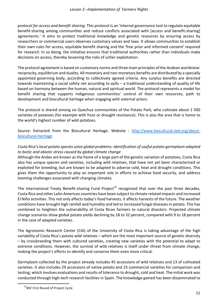*protocol for access and benefit sharing*. This protocol is an 'internal governance tool to regulate equitable benefit-sharing among communities and reduce conflicts associated with [access and benefit-sharing] agreements.' It aims to protect traditional knowledge and genetic resources by ensuring access by researchers or commercial users observes customary values and laws. It allows communities to establish their own rules for access, equitable benefit sharing and the 'free prior and informed consent' required for research. In so doing, the initiative ensures that traditional authorities rather than individuals make decisions on access, thereby lessening the risks of unfair exploitation.

The protocol agreement is based on customary norms and three main principles of the Andean worldview: reciprocity, equilibrium and duality. All monetary and non-monetary benefits are distributed by a specially appointed governing body, according to collectively agreed criteria. Any surplus benefits are directed towards maintaining a social safety net according to *ayllu* – a traditional understanding of quality of life based on harmony between the human, natural and spiritual world. The protocol represents a model for benefit sharing that supports indigenous communities' control of their own resources, path to development and biocultural heritage when engaging with external actors.

The protocol is shared among six Quechua communities of the Potato Park, who cultivate about 1 500 varieties of potatoes (for example with frost or drought resistance). This is also the area that is home to the world's highest number of wild potatoes.

Source: Extracted from the Biocultural Heritage. Website : http://www.biocultural.iied.org/aboutbiocultural-heritage

# Costa Rica's local potato species solve global problems: identification of useful potato germplasm adapted to biotic and abiotic stress caused by global climate change

Although the Andes are known as the home of a large part of the genetic variation of potatoes, Costa Rica also has unique species and varieties, including wild relatives, that have not yet been characterized or exploited for breeding, but are known to be adapted to adverse cold, heat and drought conditions. This gives them the opportunity to play an important role in efforts to achieve food security, and address looming challenges associated with changing climates.

The International Treaty Benefit-sharing Fund Project<sup>10</sup> recognized that over the past three decades, Costa Rica and other Latin American countries have been subject to climate related impacts and increased El Niño activities. This not only affects today's food harvests, it affects harvests of the future. The weather conditions have brought high rainfall and humidity and led to increased fungal diseases in potato. This has combined to heighten the vulnerability of Costa Rican farmers to natural disasters. Projected climate change scenarios show global potato yields declining by 18 to 32 percent, compared with 9 to 18 percent in the case of adapted varieties.

The Agronomic Research Center (CIA) of the University of Costa Rica is taking advantage of the high variability of Costa Rica's potato wild relatives – which are the most important source of genetic diversity – by crossbreeding them with cultured varieties, creating new varieties with the potential to adapt to extreme conditions. However, the survival of wild relatives is itself under threat from climate change, making the project's efforts to identify and conserve them even more critical.

Germplasm collected by the project already includes 45 accessions of wild relatives and 13 of cultivated varieties. It also includes 29 accessions of native potato and 23 commercial varieties for comparison and testing, which involves evaluations and results of tolerance to drought, cold and heat. The initial work was conducted through high-tech research facilities in Spain. The knowledge gained has been disseminated to

<sup>&</sup>lt;sup>10</sup>BSF First Round of Project Cycle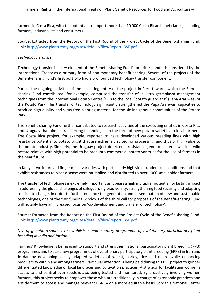farmers in Costa Rica, with the potential to support more than 10 000 Costa Rican beneficiaries, including farmers, industrialists and consumers.

Source: Extracted from the Report on the First Round of the Project Cycle of the Benefit-sharing Fund. Link: http://www.planttreaty.org/sites/default/files/Report\_BSF.pdf

#### *Technology Transfer*

Technology transfer is a key element of the Benefit-sharing Fund's priorities, and it is considered by the International Treaty as a primary form of non-monetary benefit-sharing. Several of the projects of the Benefit-sharing Fund's first portfolio had a pronounced technology transfer component.

Part of the ongoing activities of the executing entity of the project in Peru towards which the Benefitsharing Fund contributed, for example, comprised the transfer of in vitro germplasm management techniques from the International Potato Centre (CIP) to the local "potato guardians" (Papa Arariwas) of the Potato Park. This transfer of technology significantly strengthened the Papa Arariwas' capacities to produce high quality and virus-free planting material for the six indigenous communities of the Potato Park.

The Benefit-sharing Fund further contributed to research activities of the executing entities in Costa Rica and Uruguay that aim at transferring technologies in the form of new potato varieties to local farmers. The Costa Rica project, for example, reported to have developed various breeding lines with high resistance potential to potato blight that are extremely suited for processing, and thus of high value to the potato industry. Similarly, the Uruguay project detected a resistance gene to bacterial wilt in a wild potato relative with high potential to be bred into commercial potato varieties for the use of farmers in the near future.

In Kenya, two improved finger millet varieties with particularly high yields under local conditions and that exhibit resistances to blast disease were multiplied and distributed to over 1000 smallholder farmers.

The transfer of technologies is extremely important as it bears a high multiplier potential for lasting impact in addressing the global challenges of safeguarding biodiversity, strengthening food security and adapting to climate change. In order to further enhance the generation and dissemination of new and sustainable technologies, one of the two funding windows of the third call for proposals of the Benefit-sharing Fund will notably have an increased focus on 'co-development and transfer of technology'.

Source: Extracted from the Report on the First Round of the Project Cycle of the Benefit-sharing Fund. Link: http://www.planttreaty.org/sites/default/files/Report\_BSF.pdf

Use of genetic resources to establish a multi-country programme of evolutionary participatory plant *breeding in India and Jordan*

Farmers' Knowledge is being used to support and strengthen national participatory plant breeding (PPB) programmes and to start new programmes of evolutionary participatory plant breeding (EPPB) in Iran and Jordan by developing locally adapted varieties of wheat, barley, rice and maize while enhancing biodiversity within and among farmers. Particular attention is being paid during this BSF project to gender differentiated knowledge of local landraces and cultivation practices. A strategy for facilitating women's access to and control over seeds is also being tested and monitored. By proactively involving women farmers, this project seeks to empower those who are traditionally in charge of agronomic practices and entitle them to access and manage relevant PGRFA on a more equitable basis. Jordan's National Center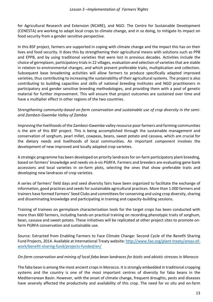for Agricultural Research and Extension (NCARE), and NGO. The Centre for Sustainable Development (CENESTA) are working to adapt local crops to climate change, and in so doing, to mitigate its impact on food security from a gender sensitive perspective.

In this BSF project, farmers are supported in coping with climate change and the impact this has on their lives and food security. It does this by strengthening their agricultural means with solutions such as PPB and EPPB, and by using traditional varieties that were lost in previous decades. Activities include the choice of germplasm, participatory trials in 22 villages, evaluation and selection of varieties that are stable in relation to environmental changes, and which present preferable traits, multiplication and collection. Subsequent base broadening activities will allow farmers to produce specifically adapted improved varieties, thus contributing to increasing the sustainability of their agricultural systems. The project is also contributing to building capacities and skills of national breeding institutes and NGO practitioners in participatory and gender sensitive breeding methodologies, and providing them with a pool of genetic material for further improvement. This will ensure that project outcomes are sustained over time and have a multiplier effect in other regions of the two countries.

#### Strengthening community-based on-farm conservation and sustainable use of crop diversity in the semi*arid Zambezi-Gwembe Valley of Zambia*

Improving the livelihoods of the Zambezi-Gwembe valley resource poor farmers and farming communities is the aim of this BSF project. This is being accomplished through the sustainable management and conservation of sorghum, pearl millet, cowpeas, beans, sweet potato and cassava, which are crucial for the dietary needs and livelihoods of local communities. An important component involves the development of new improved and locally adapted crop varieties.

A strategic programme has been developed on priority landraces for on-farm participatory plant breeding, based on farmers' knowledge and needs vis-à-vis PGRFA. Farmers and breeders are evaluating gene bank accessions and local varieties in on-farm plots, selecting the ones that show preferable traits and developing new landraces of crop varieties.

A series of farmers' field days and seed diversity fairs have been organized to facilitate the exchange of information, good practices and seeds for sustainable agricultural practices. More than 1000 farmers and trainers have formed Farmers' Seed Clubs and committees for conserving and using crop diversity, sharing and disseminating knowledge and participating in training and capacity-building sessions.

Training of trainees on germplasm characterization tools for the target crops has been conducted with more than 600 farmers, including hands-on practical training on recording phenotypic traits of sorghum, bean, cassava and sweet potato. These initiatives will be replicated at other project sites to promote onfarm PGRFA conservation and sustainable use.

Source: Extracted from Enabling Farmers to Face Climate Change: Second Cycle of the Benefit Sharing Fund Projects, 2014. Available at International Treaty website: http://www.fao.org/plant-treaty/areas-ofwork/benefit-sharing-fund/projects-funded/en/

#### *On-farm conservation and mining of local faba bean landraces for biotic and abiotic stresses in Morocco*

The faba bean is among the most ancient crops in Morocco. It is strongly embedded in traditional cropping systems and the country is one of the most important centres of diversity for faba beans in the Mediterranean Basin. However, with the onset of climate change, frequent droughts, pests and diseases have severely affected the productivity and availability of this crop. The need for *ex situ* and on-farm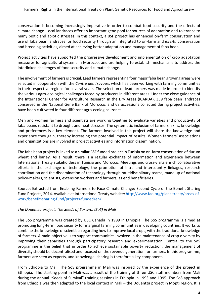conservation is becoming increasingly imperative in order to combat food security and the effects of climate change. Local landraces offer an important gene pool for sources of adaptation and tolerance to many biotic and abiotic stresses. In this context, a BSF project has enhanced on-farm conservation and use of faba bean landraces for food security through an integrated to on-farm and *ex situ* conservation and breeding activities, aimed at achieving better adaptation and management of faba bean.

Project activities have supported the progressive development and implementation of crop adaptation measures for agricultural systems in Morocco, and are helping to establish mechanisms to address the interlinked challenges of food security and climate change.

The involvement of farmers is crucial. Lead farmers representing four major faba bean growing areas were selected in cooperation with the *Centre des Travaux*, which has been working with farming communities in their respective regions for several years. The selection of lead farmers was made in order to identify the various agro-ecological challenges faced by producers in different areas. Under the close guidance of the International Center for Agriculture Research in the Dry Areas (ICARDA), 359 faba bean landraces conserved in the National Gene Bank of Morocco, and 68 accessions collected during project activities, have been cultivated in four different agro-ecological zones.

Men and women farmers and scientists are working together to evaluate varieties and productivity of faba beans resistant to drought and heat stresses. The systematic inclusion of farmers' skills, knowledge and preferences is a key element. The farmers involved in this project will share the knowledge and experience they gain, thereby increasing the potential impact of results. Women farmers' associations and organizations are involved in project activities and information dissemination.

The faba bean project is linked to a similar BSF funded project in Tunisia on on-farm conservation of durum wheat and barley. As a result, there is a regular exchange of information and experience between International Treaty stakeholders in Tunisia and Morocco. Meetings and cross-visits enrich collaborative efforts in the exchange of technology, the promotion of intra and intercountry linkages, research coordination and the dissemination of technology through multidisciplinary teams, made up of national policy-makers, scientists, extension workers and farmers, as end beneficiaries.

Source: Extracted from Enabling Farmers to Face Climate Change: Second Cycle of the Benefit Sharing Fund Projects, 2014. Available at International Treaty website: http://www.fao.org/plant-treaty/areas-ofwork/benefit-sharing-fund/projects-funded/en/

#### The Douentza project: The Seeds of Survival (SoS) in Mali

The SoS programme was created by USC Canada in 1989 in Ethiopia. The SoS programme is aimed at promoting long-term food security for marginal farming communities in developing countries. It works to combine the knowledge of scientists regarding how to improve local crops, with the traditional knowledge of farmers. A main objective is to support communities involved in the maintenance of crop diversity by improving their capacities through participatory research and experimentation. Central to the SoS programme is the belief that in order to achieve sustainable poverty reduction, the management of diversity should be decentralised and focused on the revenue generation for farmers. In this programme, farmers are seen as experts, and knowledge–sharing is therefore a key component.

From Ethiopia to Mali: The SoS programme in Mali was inspired by the experience of the project in Ethiopia. The starting point in Mali was a result of the training of three USC staff members from Mali during the annual "Seeds of Survival" training sessions in Ethiopia in 1993 and 1995. The SoS approach from Ethiopia was then adapted to the local context in Mali – the Douentza project in Mopti region. It is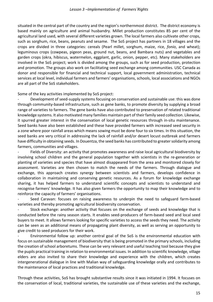situated in the central part of the country and the region's northernmost district. The district economy is based mainly on agriculture and animal husbandry. Millet production constitutes 85 per cent of the agricultural land used, with several different varieties grown. The local farmers also cultivate other crops, such as sorghum, rice, beans, peanuts and sesame. The SoS project has partners in 18 villages and the crops are divided in three categories: cereals (Pearl millet, sorghum, maize, rice, *fonio*, and wheat); leguminous crops (cowpeas, pigeon peas, ground nut, beans, and Bambara nuts) and vegetables and garden crops (okra, hibiscus, watermelon, eggplant, garlic, onion, pepper, etc). Many stakeholders are involved in the SoS project; work is divided among the groups, such as for seed production, protection and promotion. The groups also work on facilitating seed exchange among communities. USC Canada as donor and responsible for financial and technical support, local government administration, technical services at local level, individual farmers and farmers' organisations, schools, local associations and NGOs are all part of the SoS stakeholders.

Some of the key activities implemented by SoS project:

Development of seed-supply systems focusing on conservation and sustainable use: this was done through community-based infrastructure, such as gene banks, to promote diversity by supplying a broad range of varieties to farmers. The gene banks have also contributed to preservation of related traditional knowledge systems. It also motivated many families maintain part of their family seed collection. Likewise, it spurred greater interest in the conservation of local genetic resources through in-situ maintenance. Seed banks have also been established and these have provided farmers with increased seed security in a zone where poor rainfall areas which means sowing must be done four to six times. In this situation, the seed banks are very critical in addressing the lack of rainfall and/or desert locust outbreak and farmers have difficulty in obtaining seeds. In Douentza, the seed banks has contributed to greater solidarity among farmers, communities and villages.

Fields of Diversity: an activity that promotes awareness and raise local agricultural biodiversity by involving school children and the general population together with scientists in the re-generation or planting of varieties and species that have almost disappeared from the area and monitored closely for assessment. Varieties are then chosen to match the needs of the farmers. Through dialogue and exchange, this approach creates synergy between scientists and farmers, develops confidence in collaboration in maintaining and conserving genetic resources. As a forum for knowledge exchange sharing, it has helped farmers to understand scientific concepts and scientists to understand and recognise farmers' knowledge. It has also given farmers the opportunity to map their knowledge and to reinforce the capacity of farmers' organisations.

Seed Caravan: focuses on raising awareness to underpin the need to safeguard farm-based varieties and thereby promoting agricultural biodiversity conservation.

Stock exchange: another activity that focuses on the exchange of seeds and knowledge that is conducted before the rainy season starts. It enables seed-producers of farm-based seed and local seed buyers to meet. It allows farmers looking for specific varieties to access the seeds they need. The activity can be seen as an additional means of propagating plant diversity, as well as serving an opportunity to give credit to seed producers for their work.

Environmental follow up: another central goal of the SoS is the environmental education with focus on sustainable management of biodiversity that is being promoted in the primary schools, including the creation of school arboretums. These can be very relevant and useful teaching tool because they give the pupils practical training in relation to environmental issues. In addition to scientific knowledge, village elders are also invited to share their knowledge and experience with the children, which creates intergenerational dialogue in line with Malian way of safeguarding knowledge orally and contributes to the maintenance of local practices and traditional knowledge.

Through these activities, SoS has brought substantive results since it was initiated in 1994. It focuses on the conservation of local, traditional varieties, the sustainable use of these varieties and the exchange,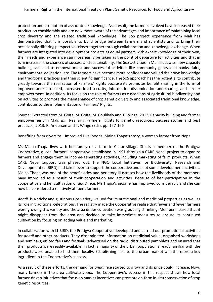protection and promotion of associated knowledge. As a result, the farmers involved have increased their production considerably and are now more aware of the advantages and importance of maintaining local crop diversity and the related traditional knowledge. The SoS project experience from Mali has demonstrated that it is possible to build bridge between farmers and scientists and to bring their occasionally differing perspectives closer together through collaboration and knowledge exchange. When farmers are integrated into development projects as equal partners with expert knowledge of their own, their needs and experience can more easily be taken as the point of departure for activities and that in turn increases the chances of success and sustainability. The SoS activities in Mali illustrates how capacity building can lead to empowerment and successful activities like community gene/seed banks, fairs, environmental education, etc. The farmers have become more confident and valued their own knowledge and traditional practices and their scientific significance. The SoS approach has the potential to contribute greatly towards the realization of Farmers' Rights because its promotes benefit sharing in the form of improved access to seed, increased food security, information dissemination and sharing, and farmer empowerment. In addition, its focus on the role of farmers as custodians of agricultural biodiversity and on activities to promote the maintenance of crop genetic diversity and associated traditional knowledge, contributes to the implementation of Farmers' Rights.

Source: Extracted from M. Goïta, M. Goïta, M. Coulibaly and T. Winge. 2013. Capacity building and farmer empowerment in Mali. *In:* Realising Farmers' Rights to genetic resources: Success stories and best practices, 2013. R. Andersen and T. Winge (Eds). pp. 157-166

Benefiting from diversity – Improved Livelihoods: Maina Thapa's story, a woman farmer from Nepal

Ms Maina Thapa lives with her family on a farm in Chaur village. She is a member of the Pratigya Cooperative, a lcoal farmers' cooperative established in 1991 through a CARE Nepal project to organize farmers and engage them in income-generating activities, including marketing of farm products. When CARE Nepal support was phased out, the NGO Local Initiatives for Biodiversity, Research and Development (LI-BIRD) had taken over to support the cooperative and pilot some development activities. Maina Thapa was one of the beneficiaries and her story illustrates how the livelihoods of the members have improved as a result of their cooperation and activities. Because of her participation in the cooperative and her cultivation of *anadi* rice, Ms Thapa's income has improved considerably and she can now be considered a relatively affluent farmer.

*Anadi* is a sticky and glutinous rice variety, valued for its nutritional and medicinal properties as well as its role in traditional celebrations. The registry made the Cooperative realise that fewer and fewer farmers were growing this variety and the area under cultivation was gradually shrinking. Members feared that it might disappear from the area and decided to take immediate measures to ensure its continued cultivation by focusing on adding value and marketing.

In collaboration with LI-BIRD, the Pratigya Cooperative developed and carried out promotional activities for *anadi* and other products. They disseminated information on medicinal value, organised workshops and seminars, visited fairs and festivals, advertised on the radio, distributed pamphlets and ensured that their products were readily available. In fact, a majority of the urban population already familiar with the products were unable to find them locally. Establishing links to the urban market was therefore a key ingredient in the Cooperative's success.

As a result of these efforts, the demand for *anadi* rice started to grow and its price could increase. Now, many farmers in the area cultivate *anadi*. The Cooperative's success in this respect shows how local farmer-driven initiatives that focus on market incentives can promote on-farm in-situ conservation of crop genetic resources.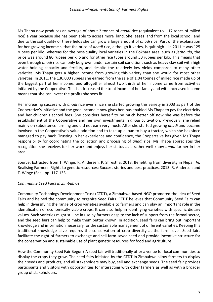Ms Thapa now produces an average of about 2 tonnes of *anadi* rice (equivalent to 1.17 tones of milled rice) a year because she has been able to access more land. She leases land from the local school, and due to the soil quality of these fields she can grow a large amount of *anadi* rice. Part of the explanation for her growing income si that the price of *anadi* rice, although it varies, is quit high – in 2011 it was 125 rupees per kilo, whereas for the best-quality local varieties in the Pokhara area, such as *jethbudo*, the price was around 80 rupees per kilo and for other rice types around 50 rupees per kilo. This means that even through *anadi* rice can only be grown under certain soil conditions such as heavy clay soil with high water holding capacity and fertility, and despite the relatively low yields compared to many other varieties, Ms Thapa gets a higher income from growing this variety than she would for most other varieties. In 2011, the 130,000 rupees she earned from the sale of 1.04 tonnes of milled rice made up of the biggest part of her income, and altogether almost two thirds of her income came from activities initiated by the Cooperative. This has increased the total income of her family and with increased income means that she can invest the profits she sees fit.

Her increasing success with *anadi* rice ever since she started growing this variety in 2003 as part of the Cooperative's initiative and the good income it now gives her, has enabled Ms Thapa to pay for electricity and her children's school fees. She considers herself to be much better off now she was before the establishment of the Cooperative and her own investments in *anadi* cultivation. Previously, she relied mainly on subsistence farming and did not earn very much. After she started growing *anadi* and became involved in the Cooperative's value addition and to take up a loan to buy a tractor, which she has since managed to pay back. Trusting in her experience and confidence, the Coopertaive has given Ms Thapa responsibility for coordinating the collection and processing of *anadi* rice. Ms Thapa appreciates the recognition she receives for her work and enjoys her status as a rather well-know *anadi* farmer in her area.

Source: Extracted from T. Winge, R. Andersen, P. Shrestha, 2013. Benefiting from diversity in Nepal *In:* Realising Farmers' Rights to genetic resources: Success stories and best practices, 2013. R. Andersen and T. Winge (Eds). pp. 117-133.

#### *Community Seed Fairs in Zimbabwe*

Community Technology Development Trust (CTDT), a Zimbabwe-based NGO promoted the idea of Seed Fairs and helped the community to organize Seed Fairs. CTDT believes that Community Seed Fairs can help in diversifying the range of crop varieties available to farmers and can play an important role in the identification of economically viable crops. It can also help in identifying varieties with specific dietary values. Such varieties might still be in use by farmers despite the lack of support from the formal sector, and the seed fairs can help to make them better known. In addition, seed fairs can bring out important knowledge and information necessary for the sustainable management of different varieties. Keeping this traditional knowledge alive requires the conservation of crop diversity at the farm level. Seed fairs facilitate the right of farmers to exchange and sell farm-saved seed and provide incentive structure for the conservation and sustainable use of plant genetic resources for food and agriculture.

How the Community Seed Fair Begun? A seed fair will traditionally offer a venue for local communities to display the crops they grow. The seed fairs initiated by the CTDT in Zimbabwe allow farmers to display their seeds and products, and all stakeholders may buy, sell and exchange seeds. The seed fair provides participants and visitors with opportunities for interacting with other farmers as well as with a broader group of stakeholders.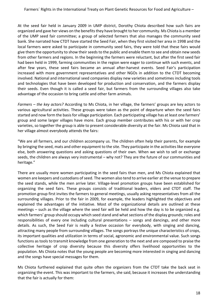At the seed fair held in January 2009 in UMP district, Dorothy Chiota described how such fairs are organized and gave her views on the benefits they have brought to her community. Ms Chiota is a member of the UMP seed fair committee; a group of selected farmers that also manages the community seed bank. She narrated how CTDT have started the Seed Fair, when they first visited her area in 1998 and the local farmers were asked to participate in community seed fairs, they were told that these fairs would give them the opportunity to show their seeds to the public and enable them to see and obtain new seeds from other farmers and regions. In the beginning the farmers were reluctant, but after the first seed fair had been held in 1999, farming communities in the region were eager to continue with such events, and after few years, these seed fairs became an annual after-harvest events. Seed Fair's participation increased with more government representatives and other NGOs in addition to the CTDT becoming involved. National and international seed companies display new varieties and sometimes including tools and technologies that have been developed for production and conservation, and the farmers display their seeds. Even though it is called a seed fair, but farmers from the surrounding villages also take advantage of the occasion to bring cattle and other farm animals.

*Farmers* – *the key actors?* According to Ms Chiota, in her village, the farmers' groups are key actors to various agricultural activities. These groups were taken as the point of departure when the seed fairs started and now form the basis for village participation. Each participating village has at least one farmers' group and some larger villages have more. Each group member contributes with his or with her crop varieties, so together the group is able to present considerable diversity at the fair. Ms Chiota said that in her village almost everybody attends the fairs:

"We are all farmers, and our children accompany us. The children often help their parents, for example by bringing the seed, mats and other equipment to the site. They participate in the activities like everyone else, both answering questions and asking questions of their own. When we wish to sell or exchange seeds, the children are always very instrumental – why not? They are the future of our communities and heritage."

There are usually more women participating in the seed fairs than men, and Ms Chiota explained that women are keepers and custodians of seed. The women also tend to arrive earlier at the venue to prepare the seed stands, while the men arrive later. Village-level promotion groups have been established for organizing the seed fairs. These groups consists of traditional leaders, elders and CTDT staff. The promotion group first invites the farmers to general meetings, usually asking representatives from all the surrounding villages. Prior to the fair in 2009, for example, the leaders highlighted the objectives and explained the advantages of the initiative. Most of the organizational details are outlined at these meetings  $-$  such as the village where the seed fair will be held and how the day is to be organized e.g. which farmers' group should occupy which seed stand and what sections of the display grounds; roles and responsibilities of every one including cultural presentations  $-$  songs and dancings, and other more details. As such, the Seed Fair is really a festive occasion for everybody, with singing and dancing, attracting many people from surrounding villages. The songs portrays the unique characteristics of crops, its important qualities and utilization in terms of social, agronomic and environmental value. Such songs functions as tools to transmit knowledge from one generation to the next and are composed to praise the collective heritage of crop diversity because this diversity offers livelihood opportunities to the population. Ms Chiota notes that the young people are becoming more interested in singing and dancing and the songs have special messages for them.

Ms Chiota furthered explained that quite often the organizers from the CTDT take the back seat in organizing the event. This was important to the farmers, she said, because it increases the understanding that the fair is actually for them: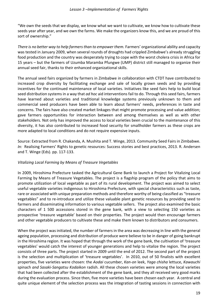"We own the seeds that we display, we know what we want to cultivate, we know how to cultivate these seeds year after year, and we own the farms. We make the organizers know this, and we are proud of this sort of ownership."

*There is no better way to help farmers than to empower them.* Farmers' organizational ability and capacity was tested in January 2009, when several rounds of droughts had crippled Zimbabwe's already struggling food production and the country was desperately trying to cope with the worst cholera crisis in Africa for 15 years – but the farmers of Uzumba Maramba Pfungwe (UMP) district still managed to organize their annual seed fair, thanks to their enhanced organizational skills.

The annual seed fairs organized by farmers in Zimbabwe in collaboration with CTDT have contributed to increased crop diversity by facilitating exchange and sale of locally grown seeds and by providing incentives for the continued maintenance of local varieties. Initiatives like seed fairs help to build local seed distribution systems in a way that *ad hoc* aid interventions fail to do. Through this seed fairs, farmers have learned about varieties and traditional knowledge systems previously unknown to them and commercial seed producers have been able to learn about farmers' needs, preferences in taste and concerns. The fairs have also created market linkages that might promote processing and value addition; gave farmers opportunities for interaction between and among themselves as well as with other stakeholders. Not only has improved the access to local varieties been crucial to the maintenance of this diversity, it has also contributed to increased food security for smallholder farmers as these crops are more adapted to local conditions and do not require expensive inputs.

Source: Extracted from R. Chakanda, A. Mushita and T. Winge, 2013. Community Seed Fairs in Zimbabwe. *In:* Realising Farmers' Rights to genetic resources: Success stories and best practices, 2013. R. Andersen and T. Winge (Eds). pp. 117-133.

#### *Vitalizing Local Farming by Means of Treasure Vegetables*

In 2009, Hiroshima Prefecture tasked the Agricultural Gene Bank to launch a Project for Vitalizing Local Farming by Means of Treasure Vegetables. The project is a flagship program of the policy that aims to promote utilization of local vegetable as part of its rural development. The project was aimed to select useful vegetable varieties indigenous to Hiroshima Prefecture, with special characteristics such as taste, rare or associated with unique preparation methods and therefore worthy of being classified as "treasure vegetables" and to re-introduce and utilize these valuable plant genetic resources by providing seed to farmers and disseminating information to various vegetable sellers. The project also examined the basic characters of 1 500 accessions stored in the gene bank, with a view to selecting 150 varieties as prospective 'treasure vegetable' based on their properties. The project would then encourage farmers and other vegetable producers to cultivate these and make them known to distributors and consumers.

When the project was initiated, the number of farmers in the area was decreasing in line with the general ageing population, processing and distribution of produce were believe to be in danger of going bankrupt in the Hiroshima region. It was hoped that through the work of the gene bank, the cultivation of 'treasure vegetables' would catch the interest of younger generations and help to vitalize the region. The project consists of three parts. The project started in 2009 until the end of 2012. The second part of the project is the selection and multiplication of 'treasure vegetables'. In 2010, out of 50 finalists with excellent properties, five varieties were chosen: the *Aodai* cucumber, *Kan-on* leek, *Yaga chisha* lettuce, *Kawauchi* spinach *and Sasaki-Sangatsu Kodaikon* radish. All these chosen varieties were among the local varieties that had been collected after the establishment of the gene bank, and they all received very good marks during the evaluation process. Since then, five more varieties have been chosen each year. A central and quite unique element of the selection process was the integration of tasting sessions in connection with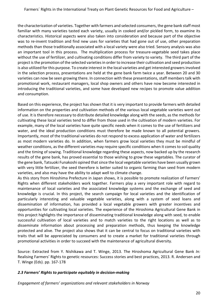the characterization of varieties. Together with farmers and selected consumers, the gene bank staff most familiar with many varieties tasted each variety, usually in cooked and/or pickled form, to examine its characteristics. Historical aspects were also taken into consideration and because part of the objective was to re-invent tradition and find new uses for varieties that had gone out of use, other preparation methods than those traditionally associated with a local variety were also tried. Sensory analysis was also an important tool in this process. The multiplication process for treasure-vegetable seed takes place without the use of fertilizer, and cultivating conditions differ from variety to variety. The third part of the project is the promotion of the selected varieties in order to increase their cultivation and seed production is also utilized for this purpose. To create interest in the local varieties and get interested growers involved in the selection process, presentations are held at the gene bank farm twice a year. Between 20 and 30 varieties can now be seen growing there. In connection with these presentations, staff members talk with promotional work, restaurant managers, local shop owners and others have now become interested in introducing the traditional varieties, and some have developed new recipes to promote value addition and consumption.

Based on this experience, the project has shown that it is very important to provide farmers with detailed information on the properties and cultivation methods of the various local vegetable varieties went out of use. It is therefore necessary to distribute detailed knowledge along with the seeds, as the methods for cultivating these local varieties tend to differ from those used in the cultivation of modern varieties. For example, many of the local varieties have quite specific needs when it comes to the use of fertilizers and water, and the ideal production conditions must therefore be made known to all potential growers. Importantly, most of the traditional varieties do not respond to excess application of water and fertilizers as most modern varieties do. In addition, when farmers grow local varieties they must be mindful of weather conditions, as the different varieties may require specific conditions when it comes to soil quality and the timing of sowing. Traditional knowledge regarding these aspects, now backed up by the research results of the gene bank, has proved essential to those wishing to grow these vegetables. The curator of the gene bank, Tatsuoki Funakoshi opined that since the local vegetable varieties have been usually grown with very little fertilizer, the seed therefore is better suited to organic farming than seed from modern varieties, and also may have the ability to adapt well to climate change.

As this story from Hiroshima Prefecture in Japan shows, it is possible to promote realization of Farmers' Rights when different stakeholders work together. Farmers play a very important role with regard to maintenance of local varieties and the associated knowledge systems and the exchange of seed and knowledge is crucial. In this project, the search campaign for local varieties and the identification of particularly interesting and valuable vegetable varieties, along with a system of seed loans and dissemination of information, has provided a local vegetable growers with greater incentives and opportunities for cultivating local varieties. The experience of the Hiroshima Agricultural Gene Bank in this project highlights the importance of disseminating traditional knowledge along with seed, to enable successful cultivation of local varieties and to match varieties to the right locations as well as to disseminate information about processing and preparation methods, thus keeping the knowledge protected and alive. The project also shows that it can be central to focus on traditional varieties with traits that will be appreciated by consumers and to create a market for traditional varieties through promotional activities in order to succeed with the maintenance of agricultural diversity.

Source: Extracted from Y. Nishikawa and T. Winge, 2013. The Hiroshoma Agricultural Gene Bank In: Realising Farmers' Rights to genetic resources: Success stories and best practices, 2013. R. Andersen and T. Winge (Eds). pp. 167-178

#### *2.3 Farmers' Rights to participate equitably in decision-making*

*Engagement of farmers' organizations and relevant stakeholders in Norway*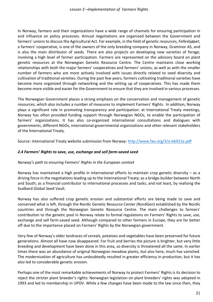In Norway, farmers and their organizations have a wide range of channels for ensuring participation in and influence on policy processes. Annual negotiations are organized between the Government and farmers' unions to discuss the Agricultural Act. For example, in the field of genetic resources, *Felleskjøpet*, a farmers' cooperative, is one of the owners of the only breeding company in Norway, Graminor AS, and is also the main distributor of seeds. There are also projects on developing new varieties of forage, involving a high level of farmer participation. Farmers are represented on the advisory board on plant genetic resources at the Norwegian Genetic Resource Centre. The Centre maintains close working relationships with both the major farmers' cooperatives and farmers' unions, as well as with the smaller number of farmers who are more actively involved with issues directly related to seed diversity and cultivation of traditional varieties. During the past few years, farmers cultivating traditional varieties have become more organized through networking and the setting up of cooperatives. This has made them become more visible and easier for the Government to ensure that they are involved in various processes.

The Norwegian Government places a strong emphasis on the conservation and management of genetic resources, which also includes a number of measures to implement Farmers' Rights. In addition, Norway plays a significant role in promoting transparency and participation: at International Treaty meetings, Norway has often provided funding support through Norwegian NGOs, to enable the participation of farmers' organizations. It has also co-organized international consultations and dialogues with governments, different NGOs, international governmental organizations and other relevant stakeholders of the International Treaty.

Source: International Treaty website submission from Norway: http://www.fao.org/3/a-bb921e.pdf

#### 2.4 Farmers' Rights to save, use, exchange and sell farm-saved seed

#### *Norway's* path to ensuring Farmers' Rights in the European context

Norway has maintained a high profile in international efforts to maintain crop genetic diversity  $-$  as a driving force in the negotiations leading up to the International Treaty; as a bridge-builder between North and South; as a financial contributor to international processes and tasks; and not least, by realising the Svalbard Global Seed Vault.

Norway has also suffered crop genetic erosion and substantial efforts are being made to save and conserved what is left, through the Nordic Genetic Resource Center (NordGen) established by the Nordic countries and through the Norwegian Genetic Resource Centre. The main challenges to farmers' contribution to the genetic pool in Norway relate to formal regulations on Farmers' Rights to save, use, exchange and sell farm-saved seed. Although compared to other farmers in Europe, they are far better off due to the importance placed on Farmers' Rights by the Norwegian government.

Very few of Norway's older landraces of cereals, potatoes and vegetables have been preserved for future generations. Almost all have now disappeared. For fruit and berries the picture is brighter, but very little breeding and development have been done in this area, so diversity is threatened all the same. In earlier times there was an abundance of original Norwegian meadow plants, but also here, much has vanished. The modernization of agriculture has undoubtedly resulted in greater efficiency in production, but it has also led to considerable genetic erosion.

Perhaps one of the most remarkable achievements of Norway to protect Farmers' Rights is its decision to reject the stricter plant breeder's rights: Norwegian legislation on plant breeders' rights was adopted in 1993 and led to membership in UPOV. While a few changes have been made to the law since then, they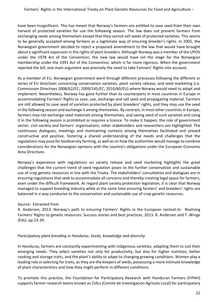have been insignificant. This has meant that Norway's farmers are entitled to save seed from their own harvest of protected varieties for use the following season. The law does not prevent farmers from exchanging seeds among themselves except that they cannot sell seeds of protected varieties. This seems to be generally accepted among farmers as a legitimate way of ensuring breeder's rights. In 2005, the Norwegian government decided to reject a proposed amendment to the law that would have brought about a significant expansion in the rights of plant breeders. Although Norway was a member of the UPOV under the 1978 Act of the Convention, the new law would have set the stage for the Norwegian membership under the 1991 Act of the Convention, which is far more rigorous. When the government rejected the bill, one main argument was precisely the need to take Farmers' Rights into account.

As a member of EU, Norwegian government went through different processes following the different or series of EU directives concerning conservation varieties, plant variety release, and seed marketing (i.e. Commission Directives 2008/62/EC; 2009/145/EC; 2010/60/EU) where Norway would need to adopt and implement. Nevertheless, Norway has gone further than its counterparts in most countries in Europe in accommodating Farmers' Rights to save, use, exchange and sell seed and propagating material. Farmers are still allowed to save seed of varieties protected by plant breeders' rights, and they may use the seed in the following season and exchange it among themselves. By contrast, in most other countries in Europe, farmers may not exchange seed materials among themselves, and saving seed of such varieties and using it in the following season is prohibited or requires a licence. To make it happen, the role of government sector, civil society and farmers' organisations, other stakeholders and researchers are highlighted. The continuous dialogues, meetings and maintaining contacts among themselves facilitated and proved constructive and positive, fostering a shared understanding of the needs and challenges that the regulations may pose for biodiversity farming, as well as on how the authorities would manage to combine considerations for the Norwegian opinions with the country's obligations under the European Economic Area Directives. 

Norway's experience with regulations on variety release and seed marketing highlights the great challenges that the current trend of seed regulation poses to the further conservation and sustainable use of crop genetic resources in line with the Treaty. The stakeholders' consultation and dialogues are in ensuring regulations that seek to accommodate all concerns and thereby creating legal space for farmers, even under the difficult framework. As regard plant variety protection legislation, it is clear that Norway managed to support breeding industry while at the same time ensuring farmers' and breeders' rights are balanced in a way conducive to the conservation and sustainable use of crop genetic resources.

#### Source: Extracted from

R. Andersen, 2013. Norway's path to ensuring Farmers' Rights in the European context.*In:* Realising Farmers' Rights to genetic resources: Success stories and best practices, 2013. R. Andersen and T. Winge (Eds). pp 23-39.

#### Participatory plant breeding in Honduras: Seeds, knowledge and diversity

In Honduras, farmers are constantly experimenting with indigenous varieties, adapting them to suit their emerging needs. They select varieties not only for productivity, but also for higher nutrition, better cooking and storage traits, and the plant's ability to adapt to changing growing conditions. Women play a leading role in selecting for traits, as they are the keepers of seeds, possessing a more intimate knowledge of plant characteristics and how they might perform in different conditions.

To promote this practice, the Foundation for Participatory Research with Honduran Farmers (FIPAH) supports farmer research teams known as CIALs (Comite de Investigacion Agricola Local) for participatory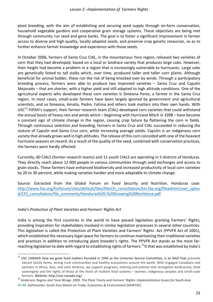plant breeding, with the aim of establishing and securing seed supply through on-farm conservation, household vegetable gardens and cooperative grain storage systems. These objectives are being met through community run seed and gene banks. The goal is to foster a significant improvement in farmer access to diverse and high quality, locally adapted seeds, and preserve crop genetic resources, so as to further enhance farmer knowledge and experience with those seeds.

In October 2006, farmers of Santa Cruz CIAL, in the mountainous Yoro region, released two varieties of corn that they had developed, based on a local or landrace variety that produces large cobs. However, their height had become a problem in a region that is increasingly vulnerable to hurricanes. Large cobs are genetically linked to tall stalks which, over time, produced taller and taller corn plants. Although beneficial for animal fodder, these run the risk of being knocked over by winds. Through a participatory breeding process, farmers were able to produce two improved varieties – Santa Cruz and Capulin Mejorado – that are shorter, with a higher yield and still adapted to high altitude conditions. One of the agricultural experts who developed these corn varieties is Simeona Perez, a farmer in the Santa Cruz region. In most cases, small-scale farmers have been largely ignored by government and agricultural scientists, and so Simeona, Amalia, Pedro, Fatima and others took matters into their own hands. With  $USC<sup>11</sup>$ -FIPAH's support, their farmer research team (CIAL) developed corn varieties that could withstand the annual bouts of heavy rain and winds which – beginning with Hurricane Mitch in 1998 – have become a constant sign of climate change in the region, causing crop failure by flattening the corn in fields. Through continuous selection and breeding, farmers in Santa Cruz and CIAL succeeded in reducing the stature of Capulin and Santa Cruz corn, while increasing average yields. Capulin is an indigenous corn variety that already grows well in high altitudes. The release of this corn coincided with one of the heaviest hurricane seasons on record. As a result of the quality of the seed, combined with conservation practices, the farmers were hardly affected.

Currently, 60 CIALS (farmer research teams) and 11 youth CIALS are operating in 5 districts of Honduras. They directly reach about 12 000 people in various communities through seed exchanges and access to grain stocks. These farmers have enhanced biodiversity and increased productivity of local corn varieties by 20 to 30 percent, while making varieties hardier and more adaptable to climate change.

Source: Extracted from the Global Forum on Food Security and Nutrition. Honduras case: http://www.fao.org/fsnforum/sites/default/files/file/cfs\_consultation/km.fao.org/fileadmin/user\_uploa d/CFS\_consultation/file\_comments/Honduras%20-%20Growing%20Resilience.pdf

#### India's Protection of Plant Varieties and Farmers' Rights Act

India is among the first countries in the world to have passed legislation granting Farmers' Rights, providing inspiration for stakeholders involved in similar legislation processes in several other countries. This legislation is called the Protection of Plant Varieties and Farmers' Rights Act (PPVFR Act of 2001), which established the necessary legal space for farmers to continue maintaining their traditional varieties and practices in addition to introducing plant breeder's rights. The PPVFR Act stands as the most farreaching legislation to date with regard to establishing rights of farmers.<sup>12</sup>It that was established by India's

 $11$  USC CANADA How we grow food matters founded in 1945 as the Unitarian Service Committee, is an NGO that promote vibrant family farms, strong rural communities and healthy ecosystems around the world. With engaged Canadians and partners in Africa, Asia, and Latin America, we support programs, training and policies that strengthen biodiversity, food sovereignty and the rights of those at the heart of resilient food systems – women, indigenous peoples and small-scale

farmers. Website: http://usc-canada.org/<br><sup>12</sup> Andersen, Regine and Tone Winge. 2009. The Plant Treaty and Farmers' Rights: Implementation Issues for South Asia.

VI+48. Kathmandu: South Asia Watch on Trade, Economics & Environment (SAWTEE).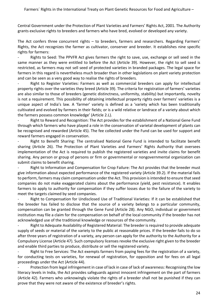Central Government under the Protection of Plant Varieties and Farmers' Rights Act, 2001. The Authority grants exclusive rights to breeders and farmers who have bred, evolved or developed any variety.

The Act confers three concurrent rights  $-$  to breeders, farmers and researchers. Regarding Farmers' Rights, the Act recognizes the farmer as cultivator, conserver and breeder. It establishes nine specific rights for farmers:

- Rights to Seed: The PPVFR Act gives farmers the right to save, use, exchange or sell seed in the same manner as they were entitled to before the Act (Article 39). However, the right to sell seed is restricted, as farmers may not sell seed of protected varieties in branded packages. The legal space for farmers in this regard is nevertheless much broader than in other legislations on plant variety protection and can be seen as a very good way to realise the rights of breeders.

Right to Register Varieties: Farmers as well as commercial breeders can apply for intellectual property rights over the varieties they breed (Article 39). The criteria for registration of farmers' varieties are also similar to those of breeders (genetic distinctness, uniformity, stability) but importantly, novelty is not a requirement. This possibility of obtaining intellectual property rights over farmers' varieties is a unique aspect of India's law. A 'farmer' variety is defined as a 'variety which has been traditionally cultivated and evolved by farmers in their fields; or is a wild relative or landrace of a variety about which the farmers possess common knowledge' (Article 2.L).

Right to Reward and Recognition: The Act provides for the establishment of a National Gene Fund through which farmers who have played a role in the conservation of varietal development of plants can be recognised and rewarded (Article 45). The fee collected under the Fund can be used for support and reward farmers engaged in conservation.

- Right to Benefit Sharing: The centralised National Gene Fund is intended to facilitate benefit sharing (Article 26). The Protection of Plant Varieties and Farmers' Rights Authority that oversees implementation of the Act is required to publish the registered varieties and invite claims for benefit sharing. Any person or group of persons or firm or governmental or nongovernmental organization can submit claims to benefit sharing.

Right to Information and Compensation for Crop Failure: The Act provides that the breeder must give information about expected performance of the registered variety (Article 39.2). If the material fails to perform, farmers may claim compensation under the Act. This provision is intended to ensure that seed companies do not make exaggerated claims about the performance (yield, pest resistance). It enables farmers to apply to authority for compensation if they suffer losses due to the failure of the variety to meet the targets claimed by seed companies.

Right to Compensation for Undisclosed Use of Traditional Varieties: If it can be established that the breeder has failed to disclose that the source of a variety belongs to a particular community, compensation can be granted through the Gene Fund (Article 28). Any NGO, individual or government institution may file a claim for the compensation on behalf of the local community if the breeder has not acknowledged use of the traditional knowledge or resources of the community.

Right to Adequate Availability of Registered Material: The breeder is required to provide adequate supply of seeds or material of the variety to the public at reasonable prices. If the breeder fails to do so after three years of registration of a variety, any person can apply for the authority to the Authority for a Compulsory License (Article 47). Such compulsory licenses revoke the exclusive right given to the breeder and enable third parties to produce, distribute or sell the registered variety.

Right to Free Services: The Act exempts farmers from paying fees for the registration of a variety, for conducting tests on varieties, for renewal of registration, for opposition and for fees on all legal proceedings under the Act (Article 44).

Protection from legal infringement in case of lack in case of lack of awareness: Recognising the low literacy levels in India, the Act provides safeguards against innocent infringement on the part of farmers (Article 42). Farmers who unknowingly violate the rights of a breeder shall not be punished if they can prove that they were not aware of the existence of breeder's rights.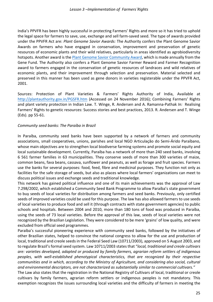India's PPVFR has been highly successful in protecting Farmers' Rights and more so it has tried to uphold the legal space for farmers to save, use, exchange and sell farm-saved seed. The type of awards provided under the PPVFR Act are: *Plant Genome Savior Awards:* The Authority confers the Plant Genome Savior Awards on farmers who have engaged in conservation, improvement and preservation of genetic resources of economic plants and their wild relatives, particularly in areas identified as agrobiodiversity hotspots. Another award is the Plant Genome Savior Community Award, which is made annually from the Gene Fund. The Authority also confers a Plant Genome Savior Farmer Reward and Farmer Recognition award to farmers engaged in the conservation of genetic resources of landraces and wild relatives of economic plants, and their improvement through selection and preservation. Material selected and preserved in this manner has been used as gene donors in varieties registerable under the PPVFR Act, 2001. 

Sources: Protection of Plant Varieties & Farmers' Rights Authority of India, Available at http://plantauthority.gov.in/PGSFR.htm (Accessed on 24 November 2016); Combining Farmers' Rights and plant variety protection in Indian Law. T. Winge, R. Andersen and A. Ramanna-Pathak *In:* Realising Farmers' Rights to genetic resources: Success stories and best practices, 2013. R. Andersen and T. Winge (Eds). pp 55-61.

#### *Community seed banks: The Paraíba in Brazil*

In Paraíba, community seed banks have been supported by a network of farmers and community associations, small cooperatives, unions, parishes and local NGO Articulação do Semi-Árido Paraíbano, whose main objectives are to strengthen local biodiverse farming systems and promote social equity and local sustainable development. Currently, Paraíba has a network of more than 240 seed banks, involving 6 561 farmer families in 63 municipalities. They conserve seeds of more than 300 varieties of maize, common beans, fava beans, cassava, sunflower and peanuts, as well as forage and fruit species. Farmers use the banks for several purposes: food, feed, fibre and medicinal purposes. They function not only as facilities for the safe storage of seeds, but also as places where local farmers' organizations can meet to discuss political issues and exchange seeds and traditional knowledge.

This network has gained political influence and one of its main achievements was the approval of Law 7.298/2002, which established a Community Seed Bank Programme to allow Paraíba's state government to buy seeds of local varieties for distribution among farmers and seed banks. Previously, only certified seeds of improved varieties could be used for this purpose. The law has also allowed farmers to use seeds of local varieties to produce food and sell it (through contracts with state government agencies) to public schools and hospitals. Between 2004 and 2010, more than 180 tons of food was produced in Paraíba, using the seeds of 73 local varieties. Before the approval of this law, seeds of local varieties were not recognized by the Brazilian Legislation. They were considered to be mere 'grains' of low quality, and were excluded from official seed programmes.

Paraíba's successful pioneering experience with community seed banks, followed by the initiatives of other Brazilian states, helped to convince the national congress to allow for the use and production of local, traditional and creole seeds in the Federal Seed Law (10711/2003), approved on 5 August 2003, and to regulate Brazil's formal seed system. Law 10711/2003 states that "*local, traditional and creole cultivars* are: varieties developed, adapted or produced by family farmers, agrarian reform settlers of indigenous peoples, with well-established phenotypical characteristics, that are recognized by their respective *communities and in which, according to the Ministry of Agriculture, and considering also social, cultural* and environmental descriptors, are not characterized as substantially similar to commercial cultivars."

The Law also states that the registration in the National Registry of Cultivars of local, traditional or creole cultivars by family farmers, agrarian reform settlers or indigenous peoples is not mandatory. This exemption recognizes the issues surrounding local varieties and the difficulty of farmers in meeting the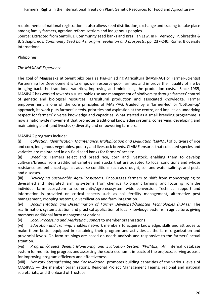requirements of national registration. It also allows seed distribution, exchange and trading to take place among family farmers, agrarian reform settlers and indigenous peoples.

Source: Extracted from Santilli, J. Community seed banks and Brazilian Law. In R. Vernooy, P. Shrestha & B. Sthapit, eds. *Community Seed banks: origins, evolution and prospects*, pp. 237-240. Rome, Bioversity International.

#### Philippines

#### **The MASIPAG Experience**

The goal of Magsasaka at Siyentipiko para sa Pag-Unlad ng Agricultura (MASIPAG) or Farmer-Scientist Partnership for Development is to empower resource-poor farmers and improve their quality of life by bringing back the traditional varieties, improving and minimizing the production costs. Since 1985, MASIPAG has worked towards a sustainable use and management of biodiversity through farmers' control of genetic and biological resources, agricultural production and associated knowledge. Farmer empowerment is one of the core principles of MASIPAG. Guided by a 'farmer-led' or 'bottom-up' approach, its work puts farmers' needs, priorities and aspiration at the centre, and implies an underlying respect for farmers' diverse knowledge and capacities. What started as a small breeding programme is now a nationwide movement that promotes traditional knowledge systems; conserving, developing and maintaining plant (and livestock) diversity and empowering farmers.

#### MASIPAG programs include:

(i) Collection, Identification, Maintenance, Multiplication and Evaluation (CIMME) of cultivars of rice and corn, indigenous vegetables, poultry and livestock breeds. CIMME ensures that collected species and varieties are maintained in on-field seed banks for farmers' access:

(ii) Breeding: Farmers select and breed rice, corn and livestock, enabling them to develop cultivars/breeds from traditional varieties and stocks that are adapted to local conditions and whose resistance are enhanced against adverse conditions such as drought, soil and water salinity, and pests and diseases.

(iii) Developing Sustainable Agro-Ecosystems. Encourages farmers to shift from monocropping to diversified and integrated farming systems; from chemical to organic farming; and focusing from the individual farm ecosystem to community/agro-ecosystem wide conversion. Technical support and information is provided on critical aspects such as soil fertility management, alternative pest management, cropping systems, diversification and farm integration.

(iv) *Documentation and Dissemination of Farmer Developed/Adapted Technologies (FDATs)*. The reaffirmation, systematization and practical application of local knowledge systems in agriculture, giving members additional farm management options.

(v) *Local Processing and Marketing Support* to member organizations

(vi) *Education and Training:* Enables network members to acquire knowledge, skills and attitudes to make them better equipped in sustaining their program and activities at the farm organization and provincial levels. On-farm trainings are based on needs analysis and responsive to the farmers' actual situation.

(vii) *Program/Project Benefit Monitoring and Evaluation System (PPBMES): A*n internal database system for monitoring progress and assessing the socio-economic impacts of the projects, serving as basis for improving program efficiency and effectiveness.

(viii) Network Strengthening and Consolidation: promotes building capacities of the various levels of MASIPAG — the member organizations, Regional Project Management Teams, regional and national secretariats, and the Board of Trustees.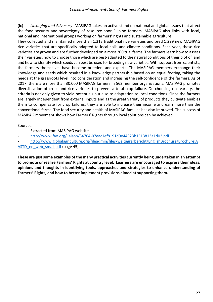(ix) Linkaging and Advocacy: MASIPAG takes an active stand on national and global issues that affect the food security and sovereignty of resource-poor Filipino farmers. MASIPAG also links with local, national and international groups working on farmers' rights and sustainable agriculture.

They collected and maintained more than 1,313 traditional rice varieties and bred 1,299 new MASIPAG rice varieties that are specifically adapted to local soils and climate conditions. Each year, these rice varieties are grown and are further developed on almost 200 trial farms. The farmers learn how to assess their varieties, how to choose those which are best-adapted to the natural conditions of their plot of land and how to identify which seeds can best be used for breeding new varieties. With support from scientists, the farmers themselves have become breeders and experts. The MASIPAG members exchange their knowledge and seeds which resulted in a knowledge partnership based on an equal footing, taking the needs at the grassroots level into consideration and increasing the self-confidence of the farmers. As of 2017, there are more than 30,000 MASIPAG farmers in 563 member organizations. MASIPAG promotes diversification of crops and rice varieties to prevent a total crop failure. On choosing rice variety, the criteria is not only given to yield potentials but also to adaptation to local conditions. Since the farmers are largely independent from external inputs and as the great variety of products they cultivate enables them to compensate for crop failures, they are able to increase their income and earn more than the conventional farms. The food security and health of MASIPAG families has also improved. The success of MASIPAG movement shows how Farmers' Rights through local solutions can be achieved.

# Sources:

- Extracted from MASIPAG website
- http://www.fao.org/liaison/34704-07eac1ef8191d9e44323b1513813a1d02.pdf
- http://www.globalagriculture.org/fileadmin/files/weltagrarbericht/EnglishBrochure/BrochureIA

ASTD en web small.pdf (page 45)

These are just some examples of the many practical activities currently being undertaken in an attempt to promote or realize Farmers' Rights at country level. Learners are encouraged to express their ideas, opinions and thoughts in identifying tools, approaches and strategies to enhance understanding of Farmers' Rights, and how to better implement provisions aimed at supporting them.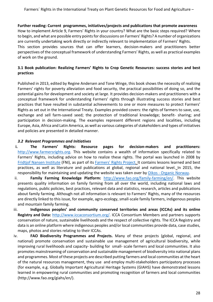#### Further reading: Current programmes, initiatives/projects and publications that promote awareness

How to implement Article 9, Farmers' Rights in your country? What are the basic steps required? Where to begin, and what are possible entry points for discussions on Farmers' Rights? A number of organizations are currently undertaking work directly or indirectly relevant to implementation of Farmers' Rights. This section provides sources that can offer learners, decision-makers and practitioners better perspectives of the conceptual framework of understanding Farmers' Rights, as well as practical examples of work on the ground.

# **3.1 Book publication: Realizing Farmers' Rights to Crop Genetic Resources: success stories and best practices**

Published in 2013, edited by Regine Andersen and Tone Winge, this book shows the necessity of realizing Farmers' rights for poverty alleviation and food security, the practical possibilities of doing so, and the potential gains for development and society at large. It provides decision-makers and practitioners with a conceptual framework for understanding Farmers' rights through illustrating success stories and best practices that have resulted in substantial achievements to one or more measures to protect Farmers' Rights as set out in the International Treaty. Examples provided covers: the rights of farmers to save, use, exchange and sell farm-saved seed; the protection of traditional knowledge; benefit- sharing; and participation in decision-making. The examples represent different regions and localities, including Europe, Asia, Africa and Latin America, as well as various categories of stakeholders and types of initiatives and policies are presented in detailed manner.

#### *3.2 Relevant Programmes and Initiatives*

- **i.** The Farmers' Rights: Resource pages for decision-makers and practitioners: http://www.farmersrights.org. This website contains a wealth of information specifically related to Farmers' Rights, including advice on how to realize these rights. The portal was launched in 2008 by Fridtjof Nansen Institute (FNI), as part of its Farmers' Rights Project. It contains lessons learned and best practices, as well as literature and publications at global, regional and national level. In 2015, the responsibility for maintaining and updating the website was taken over by Oikos - Organic Norway.
- ii. **Family Farming Knowledge Platform:** http://www.fao.org/family-farming/en/. This website presents quality information on family farming from all over the world, including national laws and regulations, public policies, best practices, relevant data and statistics, research, articles and publications about family farming. Although not all information is relevant to Farmers' Rights, many of the resources are directly linked to this issue, for example, agro-ecology, small-scale family farmers, indigenous peoples and mountain family farming.
- iii. **Indigenous peoples' and community conserved territories and areas (ICCAs) and its online Registry and Data:** http://www.iccaconsortium.org/. ICCA Consortium Members and partners supports conservation of nature, sustainable livelihoods and the respect of collective rights. The ICCA Registry and data is an online platform where indigenous peoples and/or local communities provide data, case studies, maps, photos and stories relating to their ICCAs.
- iv. **FAO Biodiversity Programmes and Projects.** Many of these projects (global, regional, and national) promote conservation and sustainable use management of agricultural biodiversity, while improving rural livelihoods and capacity- building for small- scale farmers and local communities. It also promotes mainstreaming of conservation and sustainable management of biodiversity into national plans and programmes. Most of these projects are described putting farmers and local communities at the heart of the natural resources management, they use and employ multi-stakeholders participatory processes (for example, e.g. Globally Important Agricultural Heritage Systems (GIAHS) have demonstrated lessons learned in empowering rural communities and promoting recognition of farmers and local communities (http://www.fao.org/giahs/en/).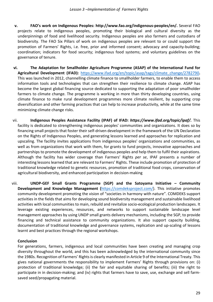- **v. FAO's work on Indigenous Peoples: http://www.fao.org/indigenous-peoples/en/.** Several FAO projects relate to indigenous peoples, promoting their biological and cultural diversity as the underpinnings of food and livelihood security. Indigenous peoples are also farmers and custodians of biodiversity. The FAO Six Pillars of work on indigenous peoples are relevant to or could support the promotion of Farmers' Rights, i.e. free, prior and informed consent; advocacy and capacity-building; coordination; indicators for food security; indigenous food systems; and voluntary guidelines on the governance of tenure.
- vi. The Adaptation for Smallholder Agriculture Programme (ASAP) of the International Fund for **Agricultural Development (IFAD):** https://www.ifad.org/en/topic/asap/tags/climate\_change/2782790. This was launched in 2012, channelling climate finance to smallholder farmers, to enable them to access information tools and technologies that can strengthen their resilience to climate change. ASAP has become the largest global financing source dedicated to supporting the adaptation of poor smallholder farmers to climate change. The programme is working in more than thirty developing countries, using climate finance to make rural development programmes more climate resilient, by supporting crop diversification and other farming practices that can help to increase productivity, while at the same time minimizing climate change risks.
- vii. **Indigenous Peoples Assistance Facility (IPAF) of IFAD: https://www.ifad.org/topic/ipaf/.** This facility is dedicated to strengthening indigenous peoples' communities and organizations. It does so by financing small projects that foster their self-driven development in the framework of the UN Declaration on the Rights of Indigenous Peoples, and generating lessons learned and approaches for replication and upscaling. The facility invites applications from indigenous peoples' organizations and communities, as well as from organizations that work with them, for grants to fund projects, innovative approaches and partnerships to promote the development of indigenous peoples and help them to fulfil their aspirations. Although the facility has wider coverage than Farmers' Rights per se, IPAF presents a number of interesting lessons learned that are relevant to Farmers' Rights. These include promotion of protection of traditional knowledge related to genetic resources, promotion of traditional food crops, conservation of agricultural biodiversity, and enhanced participation in decision-making
- viii. **UNDP-GEF Small Grants Programme (SGP) and the Satoyama Initiative Community Development and Knowledge Management (https://comdeksproject.com/).** This initiative promotes community development promoting the vision of "societies in harmony with nature". COMDEKS support activities in the fields that aims for developing sound biodiversity management and sustainable livelihood activities with local communities to main, rebuild and revitalize socio-ecological production landscapes. It leverage existing experiences, resources, and networks to support sustainable landscape level management approaches by using UNDP small grants delivery mechanisms, including the SGP, to provide financing and technical assistance to community organizations. It also support capacity building, documentation of traditional knowledge and governance systems, replication and up-scaling of lessons learnt and best practices through the regional workshops.

#### **Conclusion**

For generations, farmers, indigenous and local communities have been creating and managing crop diversity throughout the world, and this has been acknowledged by the international community since the 1980s. Recognition of Farmers' Rights is clearly manifested in Article 9 of the International Treaty. This gives national governments the responsibility to implement Farmers' Rights through provisions on: (i) protection of traditional knowledge; (ii) the fair and equitable sharing of benefits; (iii) the right to participate in in decision-making; and (iv) rights that farmers have to save, use, exchange and sell farmsaved seed/propagating material.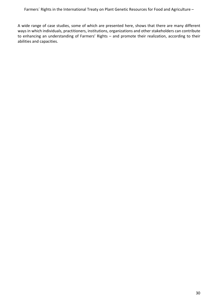A wide range of case studies, some of which are presented here, shows that there are many different ways in which individuals, practitioners, institutions, organizations and other stakeholders can contribute to enhancing an understanding of Farmers' Rights - and promote their realization, according to their abilities and capacities.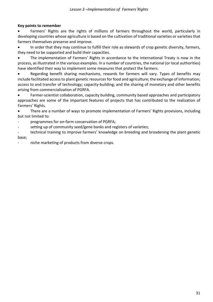#### **Key points to remember**

Farmers' Rights are the rights of millions of farmers throughout the world, particularly in developing countries whose agriculture is based on the cultivation of traditional varieties or varieties that farmers themselves preserve and improve.

In order that they may continue to fulfill their role as stewards of crop genetic diversity, farmers, they need to be supported and build their capacities.

The implementation of Farmers' Rights in accordance to the International Treaty is now in the process, as illustrated in the various examples. In a number of countries, the national (or local authorities) have identified their way to implement some measures that protect the farmers.

Regarding benefit sharing mechanisms, rewards for farmers will vary. Types of benefits may include facilitated access to plant genetic resources for food and agriculture; the exchange of information; access to and transfer of technology; capacity-building; and the sharing of monetary and other benefits arising from commercialization of PGRFA.

• Farmer-scientist collaboration, capacity building, community based approaches and participatory approaches are some of the important features of projects that has contributed to the realization of Farmers' Rights.

There are a number of ways to promote implementation of Farmers' Rights provisions, including but not limited to:

programmes for on-farm conservation of PGRFA;

setting up of community seed/gene banks and registers of varieties;

technical training to improve farmers' knowledge on breeding and broadening the plant genetic base; 

niche marketing of products from diverse crops.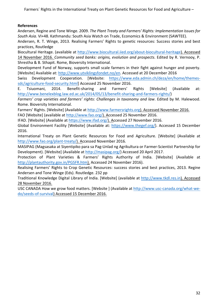#### **References**

Andersen, Regine and Tone Winge. 2009. The Plant Treaty and Farmers' Rights: Implementation Issues for South Asia. VI+48. Kathmandu: South Asia Watch on Trade, Economics & Environment (SAWTEE).

Andersen, R. T. Winge, 2013. Realising Farmers' Rights to genetic resources: Success stories and best practices, Routledge

Biocultural Heritage. (available at http://www.biocultural.iied.org/about-biocultural-heritage). Accessed 14 November 2016. *Community seed banks: origins, evolution and prospects*. Edited by R. Vernooy, P. Shrestha & B. Sthapit. Rome, Bioversity International.

Development Fund of Norway, supports small scale farmers in their fight against hunger and poverty. [Website] Available at: http://www.utviklingsfondet.no/en. Accessed at 20 December 2016

Swiss Development Cooperation. [Website: https://www.eda.admin.ch/deza/en/home/themessdc/agriculture-food-security.html] Accessed 25 November 2016.

E. Tsiuomani, 2014. Benefit-sharing and Farmers' Rights [Website] (Available at: http://www.benelexblog.law.ed.ac.uk/2014/05/13/benefit-sharing-and-farmers-rights/) 

Farmers' crop varieties and farmers' rights: Challenges in taxonomy and law. Edited by M. Halewood. Rome. Bioversity International.

Farmers' Rights. [Website] (Available at http://www.farmersrights.org). Accessed November 2016.

FAO [Website] (available at http://www.fao.org/). Accessed 25 November 2016.

IFAD. [Website] (Available at https://www.ifad.org/). Accessed 27 November 2016.

Global Environment Facility [Website] (Available at: https://www.thegef.org/). Accessed 15 December 2016.

International Treaty on Plant Genetic Resources for Food and Agriculture. [Website] (Available at http://www.fao.org/plant-treaty/). Accessed November 2016.

MASIPAG (Magsasaka at Siyentipiko para sa Pag-Unlad ng Agrikultura or Farmer-Scientist Partnership for Development). [Website] (Available at http://masipag.org/) Accessed 20 April 2017.

Protection of Plant Varieties & Farmers' Rights Authority of India. [Website] (Available at http://plantauthority.gov.in/PGSFR.htm). Accessed 24 November 2016).

Realising Farmers' Rights to Crop Genetic Resources: success stories and best practices, 2013. Regine Andersen and Tone Winge (Eds). Routledge. 232 pp

Traditional Knowledge Digital Library of India. [Website] (available at http://www.tkdl.res.in). Accessed 28 November 2016.

USC CANADA How we grow food matters. [Website ] (Available at http://www.usc-canada.org/what-wedo/seeds-of-survival) Accessed 15 December 2016.